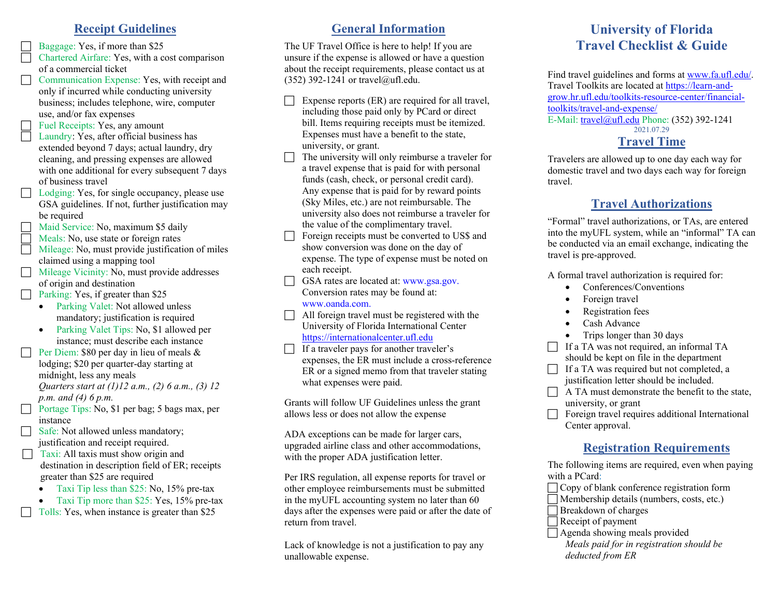### **Receipt Guidelines**

Baggage: Yes, if more than \$25

 Chartered Airfare: Yes, with a cost comparison of a commercial ticket

Communication Expense: Yes, with receipt and only if incurred while conducting university business; includes telephone, wire, computer use, and/or fax expenses

Fuel Receipts: Yes, any amount

- Laundry: Yes, after official business has extended beyond 7 days; actual laundry, dry cleaning, and pressing expenses are allowed with one additional for every subsequent 7 days of business travel
- Lodging: Yes, for single occupancy, please use GSA guidelines. If not, further justification may be required
- Maid Service: No, maximum \$5 daily
- Meals: No, use state or foreign rates
- Mileage: No, must provide justification of miles claimed using a mapping tool
- Mileage Vicinity: No, must provide addresses of origin and destination

**Parking: Yes, if greater than \$25** 

- Parking Valet: Not allowed unless mandatory; justification is required
- Parking Valet Tips: No, \$1 allowed per instance; must describe each instance
- Per Diem: \$80 per day in lieu of meals & lodging; \$20 per quarter-day starting at midnight, less any meals *Quarters start at (1)12 a.m., (2) 6 a.m., (3) 12*

*p.m. and (4) 6 p.m.*

- Portage Tips: No, \$1 per bag; 5 bags max, per instance
	- Safe: Not allowed unless mandatory; justification and receipt required.
- $\Box$  Taxi: All taxis must show origin and destination in description field of ER; receipts greater than \$25 are required
	- Taxi Tip less than \$25: No, 15% pre-tax
	- Taxi Tip more than \$25: Yes, 15% pre-tax
	- Tolls: Yes, when instance is greater than \$25

# **General Information**

The UF Travel Office is here to help! If you are unsure if the expense is allowed or have a question about the receipt requirements, please contact us at  $(352)$  392-1241 or travel@ufl.edu.

- Expense reports (ER) are required for all travel, including those paid only by PCard or direct bill. Items requiring receipts must be itemized. Expenses must have a benefit to the state, university, or grant.
- The university will only reimburse a traveler for a travel expense that is paid for with personal funds (cash, check, or personal credit card). Any expense that is paid for by reward points (Sky Miles, etc.) are not reimbursable. The university also does not reimburse a traveler for the value of the complimentary travel.
- Foreign receipts must be converted to US\$ and show conversion was done on the day of expense. The type of expense must be noted on each receipt.
- GSA rates are located at: www.gsa.gov. Conversion rates may be found at: www.oanda.com.
- All foreign travel must be registered with the University of Florida International Center [https://internationalcenter.ufl.edu](https://internationalcenter.ufl.edu/)
- $\Box$  If a traveler pays for another traveler's expenses, the ER must include a cross-reference ER or a signed memo from that traveler stating what expenses were paid.

Grants will follow UF Guidelines unless the grant allows less or does not allow the expense

ADA exceptions can be made for larger cars, upgraded airline class and other accommodations, with the proper ADA justification letter.

Per IRS regulation, all expense reports for travel or other employee reimbursements must be submitted in the myUFL accounting system no later than 60 days after the expenses were paid or after the date of return from travel.

Lack of knowledge is not a justification to pay any unallowable expense.

# **University of Florida Travel Checklist & Guide**

Find travel guidelines and forms a[t www.fa.ufl.edu/.](http://www.fa.ufl.edu/) Travel Toolkits are located at https://learn-andgrow.hr.ufl.edu/toolkits-resource-center/financialtoolkits/travel-and-expense/ E-Mail: [travel@ufl.edu](mailto:travel@ufl.edu) Phone: (352) 392-1241 2021.07.29

### **Travel Time**

Travelers are allowed up to one day each way for domestic travel and two days each way for foreign travel.

# **Travel Authorizations**

"Formal" travel authorizations, or TAs, are entered into the myUFL system, while an "informal" TA can be conducted via an email exchange, indicating the travel is pre-approved.

A formal travel authorization is required for:

- Conferences/Conventions
- Foreign travel
- Registration fees
- Cash Advance
- Trips longer than 30 days

 $\Box$  If a TA was not required, an informal TA should be kept on file in the department

- $\Box$  If a TA was required but not completed, a justification letter should be included.
- A TA must demonstrate the benefit to the state, university, or grant
- Foreign travel requires additional International Center approval.

# **Registration Requirements**

The following items are required, even when paying with a PCard:

Copy of blank conference registration form

Membership details (numbers, costs, etc.)

Breakdown of charges

 Receipt of payment  $\Box$  Agenda showing meals provided

*Meals paid for in registration should be deducted from ER*